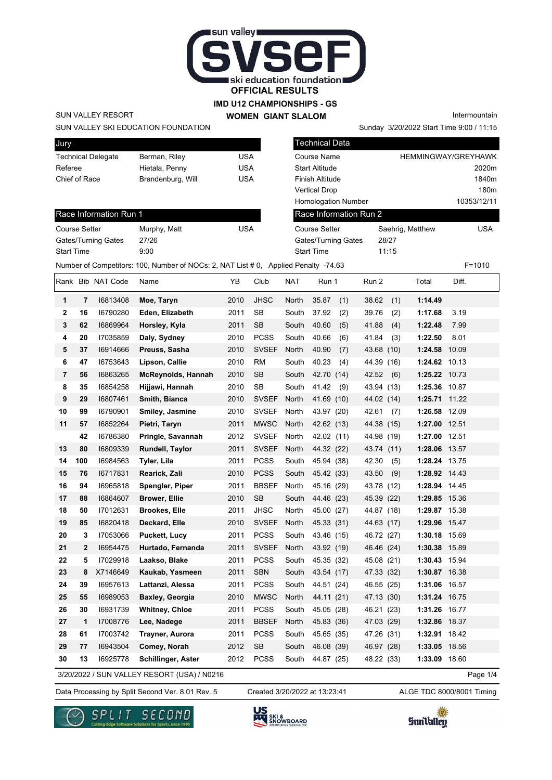

#### **IMD U12 CHAMPIONSHIPS - GS WOMEN GIANT SLALOM**

Technical Data

SUN VALLEY RESORT

Race Information Run 1

Gates/Turning Gates 27/26 Start Time 9:00

#### SUN VALLEY SKI EDUCATION FOUNDATION

Jury Technical Delegate Berman, Riley CUSA Referee Hietala, Penny USA Chief of Race Brandenburg, Will USA

Course Setter Murphy, Matt VSA

## Course Name **HEMMINGWAY/GREYHAWK** Start Altitude 2020m Finish Altitude 1840m Vertical Drop 180m Homologation Number 10353/12/11 Race Information Run 2

Sunday 3/20/2022 Start Time 9:00 / 11:15

Intermountain

| <b>Course Setter</b>       | Saehrig, Matthew | USA |
|----------------------------|------------------|-----|
| <b>Gates/Turning Gates</b> | 28/27            |     |
| <b>Start Time</b>          | 11.15            |     |
|                            |                  |     |

Number of Competitors: 100, Number of NOCs: 2, NAT List # 0, Applied Penalty -74.63 F=1010

Rank Bib NAT Code Name YB Club NAT Run 1 Run 2 Total Diff. **1 7** I6813408 **Moe, Taryn** 2010 JHSC North 35.87 (1) 38.62 (1) **1:14.49 2 16** I6790280 **Eden, Elizabeth** 2011 SB South 37.92 (2) 39.76 (2) **1:17.68** 3.19 **3 62** I6869964 **Horsley, Kyla** 2011 SB South 40.60 (5) 41.88 (4) **1:22.48** 7.99 **4 20** I7035859 **Daly, Sydney** 2010 PCSS South 40.66 (6) 41.84 (3) **1:22.50** 8.01 **5 37** I6914666 **Preuss, Sasha** 2010 SVSEF North 40.90 (7) 43.68 (10) **1:24.58** 10.09 **6 47** I6753643 **Lipson, Callie** 2010 RM South 40.23 (4) 44.39 (16) **1:24.62** 10.13 **7 56** I6863265 **McReynolds, Hannah** 2010 SB South 42.70 (14) 42.52 (6) **1:25.22** 10.73 **8 35** I6854258 **Hijjawi, Hannah** 2010 SB South 41.42 (9) 43.94 (13) **1:25.36** 10.87 **9 29** I6807461 **Smith, Bianca** 2010 SVSEF North 41.69 (10) 44.02 (14) **1:25.71** 11.22 **10 99** I6790901 **Smiley, Jasmine** 2010 SVSEF North 43.97 (20) 42.61 (7) **1:26.58** 12.09 **11 57** I6852264 **Pietri, Taryn** 2011 MWSC North 42.62 (13) 44.38 (15) **1:27.00** 12.51  **42** I6786380 **Pringle, Savannah** 2012 SVSEF North 42.02 (11) 44.98 (19) **1:27.00** 12.51 **13 80** I6809339 **Rundell, Taylor** 2011 SVSEF North 44.32 (22) 43.74 (11) **1:28.06** 13.57 **14 100** I6984563 **Tyler, Lila** 2011 PCSS South 45.94 (38) 42.30 (5) **1:28.24** 13.75 **15 76** I6717831 **Rearick, Zali** 2010 PCSS South 45.42 (33) 43.50 (9) **1:28.92** 14.43 **16 94** I6965818 **Spengler, Piper** 2011 BBSEF North 45.16 (29) 43.78 (12) **1:28.94** 14.45 **17 88** I6864607 **Brower, Ellie** 2010 SB South 44.46 (23) 45.39 (22) **1:29.85** 15.36 **18 50** I7012631 **Brookes, Elle** 2011 JHSC North 45.00 (27) 44.87 (18) **1:29.87** 15.38 **19 85** I6820418 **Deckard, Elle** 2010 SVSEF North 45.33 (31) 44.63 (17) **1:29.96** 15.47 **20 3** I7053066 **Puckett, Lucy** 2011 PCSS South 43.46 (15) 46.72 (27) **1:30.18** 15.69 **21 2** I6954475 **Hurtado, Fernanda** 2011 SVSEF North 43.92 (19) 46.46 (24) **1:30.38** 15.89 **22 5** I7029918 **Laakso, Blake** 2011 PCSS South 45.35 (32) 45.08 (21) **1:30.43** 15.94 **23 8** X7146649 **Kaukab, Yasmeen** 2011 SBN South 43.54 (17) 47.33 (32) **1:30.87** 16.38 **24 39** I6957613 **Lattanzi, Alessa** 2011 PCSS South 44.51 (24) 46.55 (25) **1:31.06** 16.57 **25 55** I6989053 **Baxley, Georgia** 2010 MWSC North 44.11 (21) 47.13 (30) **1:31.24** 16.75 **26 30** I6931739 **Whitney, Chloe** 2011 PCSS South 45.05 (28) 46.21 (23) **1:31.26** 16.77 **27 1** I7008776 **Lee, Nadege** 2011 BBSEF North 45.83 (36) 47.03 (29) **1:32.86** 18.37 **28 61** I7003742 **Trayner, Aurora** 2011 PCSS South 45.65 (35) 47.26 (31) **1:32.91** 18.42 **29 77** I6943504 **Comey, Norah** 2012 SB South 46.08 (39) 46.97 (28) **1:33.05** 18.56 **30 13** I6925778 **Schillinger, Aster** 2012 PCSS South 44.87 (25) 48.22 (33) **1:33.09** 18.60

3/20/2022 / SUN VALLEY RESORT (USA) / N0216

Data Processing by Split Second Ver. 8.01 Rev. 5 Created 3/20/2022 at 13:23:41 ALGE TDC 8000/8001 Timing Created 3/20/2022 at 13:23:41







Page 1/4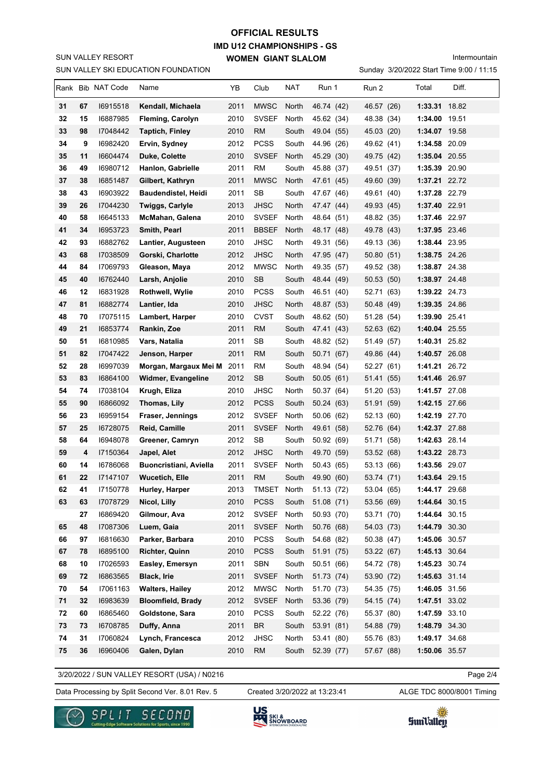SUN VALLEY SKI EDUCATION FOUNDATION SUN VALLEY RESORT

# **IMD U12 CHAMPIONSHIPS - GS WOMEN GIANT SLALOM OFFICIAL RESULTS**

Intermountain

Sunday 3/20/2022 Start Time 9:00 / 11:15

|    |    | Rank Bib NAT Code | Name                          | YΒ   | Club         | NAT   | Run 1      | Run 2      | Total         | Diff. |
|----|----|-------------------|-------------------------------|------|--------------|-------|------------|------------|---------------|-------|
| 31 | 67 | 16915518          | Kendall, Michaela             | 2011 | <b>MWSC</b>  | North | 46.74 (42) | 46.57 (26) | 1:33.31 18.82 |       |
| 32 | 15 | 16887985          | Fleming, Carolyn              | 2010 | <b>SVSEF</b> | North | 45.62 (34) | 48.38 (34) | 1:34.00 19.51 |       |
| 33 | 98 | 17048442          | <b>Taptich, Finley</b>        | 2010 | <b>RM</b>    | South | 49.04 (55) | 45.03 (20) | 1:34.07 19.58 |       |
| 34 | 9  | 16982420          | Ervin, Sydney                 | 2012 | <b>PCSS</b>  | South | 44.96 (26) | 49.62 (41) | 1:34.58 20.09 |       |
| 35 | 11 | 16604474          | Duke, Colette                 | 2010 | <b>SVSEF</b> | North | 45.29 (30) | 49.75 (42) | 1:35.04 20.55 |       |
| 36 | 49 | 16980712          | Hanlon, Gabrielle             | 2011 | <b>RM</b>    | South | 45.88 (37) | 49.51 (37) | 1:35.39 20.90 |       |
| 37 | 38 | 16851487          | Gilbert, Kathryn              | 2011 | <b>MWSC</b>  | North | 47.61 (45) | 49.60 (39) | 1:37.21 22.72 |       |
| 38 | 43 | 16903922          | <b>Baudendistel, Heidi</b>    | 2011 | SB           | South | 47.67 (46) | 49.61 (40) | 1:37.28 22.79 |       |
| 39 | 26 | 17044230          | <b>Twiggs, Carlyle</b>        | 2013 | <b>JHSC</b>  | North | 47.47 (44) | 49.93 (45) | 1:37.40 22.91 |       |
| 40 | 58 | 16645133          | McMahan, Galena               | 2010 | <b>SVSEF</b> | North | 48.64 (51) | 48.82 (35) | 1:37.46 22.97 |       |
| 41 | 34 | 16953723          | Smith, Pearl                  | 2011 | <b>BBSEF</b> | North | 48.17 (48) | 49.78 (43) | 1:37.95 23.46 |       |
| 42 | 93 | 16882762          | Lantier, Augusteen            | 2010 | <b>JHSC</b>  | North | 49.31 (56) | 49.13 (36) | 1:38.44 23.95 |       |
| 43 | 68 | 17038509          | Gorski, Charlotte             | 2012 | <b>JHSC</b>  | North | 47.95 (47) | 50.80 (51) | 1:38.75 24.26 |       |
| 44 | 84 | 17069793          | Gleason, Maya                 | 2012 | <b>MWSC</b>  | North | 49.35 (57) | 49.52 (38) | 1:38.87 24.38 |       |
| 45 | 40 | 16762440          | Larsh, Anjolie                | 2010 | <b>SB</b>    | South | 48.44 (49) | 50.53 (50) | 1:38.97 24.48 |       |
| 46 | 12 | 16831928          | Rothwell, Wylie               | 2010 | <b>PCSS</b>  | South | 46.51 (40) | 52.71 (63) | 1:39.22 24.73 |       |
| 47 | 81 | 16882774          | Lantier, Ida                  | 2010 | <b>JHSC</b>  | North | 48.87 (53) | 50.48 (49) | 1:39.35 24.86 |       |
| 48 | 70 | 17075115          | Lambert, Harper               | 2010 | <b>CVST</b>  | South | 48.62 (50) | 51.28 (54) | 1:39.90 25.41 |       |
| 49 | 21 | 16853774          | Rankin, Zoe                   | 2011 | <b>RM</b>    | South | 47.41 (43) | 52.63 (62) | 1:40.04 25.55 |       |
| 50 | 51 | 16810985          | Vars, Natalia                 | 2011 | SB           | South | 48.82 (52) | 51.49 (57) | 1:40.31 25.82 |       |
| 51 | 82 | 17047422          | Jenson, Harper                | 2011 | <b>RM</b>    | South | 50.71 (67) | 49.86 (44) | 1:40.57 26.08 |       |
| 52 | 28 | 16997039          | Morgan, Margaux Mei M         | 2011 | RM           | South | 48.94 (54) | 52.27 (61) | 1:41.21 26.72 |       |
| 53 | 83 | 16864100          | Widmer, Evangeline            | 2012 | <b>SB</b>    | South | 50.05 (61) | 51.41 (55) | 1:41.46 26.97 |       |
| 54 | 74 | 17038104          | Krugh, Eliza                  | 2010 | <b>JHSC</b>  | North | 50.37 (64) | 51.20 (53) | 1:41.57 27.08 |       |
| 55 | 90 | 16866092          | Thomas, Lily                  | 2012 | <b>PCSS</b>  | South | 50.24 (63) | 51.91 (59) | 1:42.15 27.66 |       |
| 56 | 23 | 16959154          | Fraser, Jennings              | 2012 | <b>SVSEF</b> | North | 50.06 (62) | 52.13 (60) | 1:42.19 27.70 |       |
| 57 | 25 | 16728075          | Reid, Camille                 | 2011 | <b>SVSEF</b> | North | 49.61 (58) | 52.76 (64) | 1:42.37 27.88 |       |
| 58 | 64 | 16948078          | Greener, Camryn               | 2012 | SB           | South | 50.92 (69) | 51.71 (58) | 1:42.63 28.14 |       |
| 59 | 4  | 17150364          | Japel, Alet                   | 2012 | <b>JHSC</b>  | North | 49.70 (59) | 53.52 (68) | 1:43.22 28.73 |       |
| 60 | 14 | 16786068          | <b>Buoncristiani, Aviella</b> | 2011 | <b>SVSEF</b> | North | 50.43 (65) | 53.13 (66) | 1:43.56 29.07 |       |
| 61 | 22 | 17147107          | Wucetich, Elle                | 2011 | <b>RM</b>    | South | 49.90 (60) | 53.74 (71) | 1:43.64 29.15 |       |
| 62 | 41 | 17150778          | Hurley, Harper                | 2013 | TMSET        | North | 51.13 (72) | 53.04 (65) | 1:44.17 29.68 |       |
| 63 | 63 | 17078729          | Nicol, Lilly                  | 2010 | <b>PCSS</b>  | South | 51.08(71)  | 53.56 (69) | 1:44.64 30.15 |       |
|    | 27 | 16869420          | Gilmour, Ava                  | 2012 | <b>SVSEF</b> | North | 50.93 (70) | 53.71 (70) | 1:44.64 30.15 |       |
| 65 | 48 | 17087306          | Luem, Gaia                    | 2011 | <b>SVSEF</b> | North | 50.76 (68) | 54.03 (73) | 1:44.79 30.30 |       |
| 66 | 97 | 16816630          | Parker, Barbara               | 2010 | <b>PCSS</b>  | South | 54.68 (82) | 50.38 (47) | 1:45.06 30.57 |       |
| 67 | 78 | 16895100          | Richter, Quinn                | 2010 | <b>PCSS</b>  | South | 51.91 (75) | 53.22 (67) | 1:45.13 30.64 |       |
| 68 | 10 | 17026593          | Easley, Emersyn               | 2011 | SBN          | South | 50.51 (66) | 54.72 (78) | 1:45.23 30.74 |       |
| 69 | 72 | 16863565          | Black, Irie                   | 2011 | <b>SVSEF</b> | North | 51.73 (74) | 53.90 (72) | 1:45.63 31.14 |       |
| 70 | 54 | 17061163          | <b>Walters, Hailey</b>        | 2012 | <b>MWSC</b>  | North | 51.70 (73) | 54.35 (75) | 1:46.05 31.56 |       |
| 71 | 32 | 16983639          | <b>Bloomfield, Brady</b>      | 2012 | <b>SVSEF</b> | North | 53.36 (79) | 54.15 (74) | 1:47.51 33.02 |       |
| 72 | 60 | 16865460          | Goldstone, Sara               | 2010 | <b>PCSS</b>  | South | 52.22 (76) | 55.37 (80) | 1:47.59 33.10 |       |
| 73 | 73 | 16708785          | Duffy, Anna                   | 2011 | <b>BR</b>    | South | 53.91 (81) | 54.88 (79) | 1:48.79 34.30 |       |
| 74 | 31 | 17060824          | Lynch, Francesca              | 2012 | <b>JHSC</b>  | North | 53.41 (80) | 55.76 (83) | 1:49.17 34.68 |       |
| 75 | 36 | 16960406          | Galen, Dylan                  | 2010 | <b>RM</b>    | South | 52.39 (77) | 57.67 (88) | 1:50.06 35.57 |       |

3/20/2022 / SUN VALLEY RESORT (USA) / N0216

Data Processing by Split Second Ver. 8.01 Rev. 5 Created 3/20/2022 at 13:23:41 ALGE TDC 8000/8001 Timing

Created 3/20/2022 at 13:23:41

Page 2/4





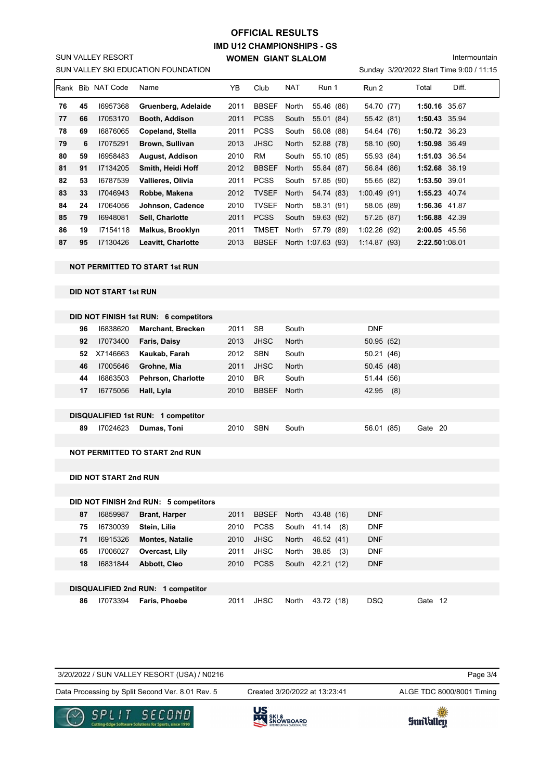# **IMD U12 CHAMPIONSHIPS - GS WOMEN GIANT SLALOM OFFICIAL RESULTS**

Intermountain

Sunday 3/20/2022 Start Time 9:00 / 11:15

| Rank |    | <b>Bib NAT Code</b> | Name                      | YΒ   | Club         | <b>NAT</b>   | Run 1              | Run 2       | Diff.<br>Total |  |
|------|----|---------------------|---------------------------|------|--------------|--------------|--------------------|-------------|----------------|--|
| 76   | 45 | 16957368            | Gruenberg, Adelaide       | 2011 | <b>BBSEF</b> | North        | 55.46 (86)         | 54.70 (77)  | 1:50.16 35.67  |  |
| 77   | 66 | 17053170            | Booth, Addison            | 2011 | <b>PCSS</b>  | South        | 55.01 (84)         | 55.42 (81)  | 1:50.43 35.94  |  |
| 78   | 69 | 16876065            | Copeland, Stella          | 2011 | <b>PCSS</b>  | South        | 56.08 (88)         | 54.64 (76)  | 1:50.72 36.23  |  |
| 79   | 6  | 17075291            | Brown, Sullivan           | 2013 | <b>JHSC</b>  | <b>North</b> | 52.88 (78)         | 58.10 (90)  | 1:50.98 36.49  |  |
| 80   | 59 | 16958483            | <b>August, Addison</b>    | 2010 | RM           | South        | 55.10 (85)         | 55.93 (84)  | 1:51.03 36.54  |  |
| 81   | 91 | 17134205            | Smith, Heidi Hoff         | 2012 | <b>BBSEF</b> | <b>North</b> | 55.84 (87)         | 56.84 (86)  | 1:52.68 38.19  |  |
| 82   | 53 | 16787539            | Vallieres, Olivia         | 2011 | <b>PCSS</b>  | South        | 57.85 (90)         | 55.65 (82)  | 1:53.50 39.01  |  |
| 83   | 33 | 17046943            | Robbe, Makena             | 2012 | <b>TVSEF</b> | North        | 54.74 (83)         | 1:00.49(91) | 1:55.23 40.74  |  |
| 84   | 24 | 17064056            | Johnson, Cadence          | 2010 | <b>TVSEF</b> | North        | 58.31 (91)         | 58.05 (89)  | 1:56.36 41.87  |  |
| 85   | 79 | 16948081            | Sell. Charlotte           | 2011 | <b>PCSS</b>  | South        | 59.63 (92)         | 57.25 (87)  | 1:56.88 42.39  |  |
| 86   | 19 | 17154118            | <b>Malkus, Brooklyn</b>   | 2011 | TMSET        | North        | 57.79 (89)         | 1:02.26(92) | 2:00.05 45.56  |  |
| 87   | 95 | 17130426            | <b>Leavitt, Charlotte</b> | 2013 | <b>BBSEF</b> |              | North 1:07.63 (93) | 1:14.87(93) | 2:22.501:08.01 |  |

## **NOT PERMITTED TO START 1st RUN**

SUN VALLEY SKI EDUCATION FOUNDATION

SUN VALLEY RESORT

## **DID NOT START 1st RUN**

|    | DID NOT FINISH 1st RUN: 6 competitors |                                    |      |              |       |              |         |
|----|---------------------------------------|------------------------------------|------|--------------|-------|--------------|---------|
| 96 | 16838620                              | <b>Marchant, Brecken</b>           | 2011 | <b>SB</b>    | South | <b>DNF</b>   |         |
| 92 | 17073400                              | Faris, Daisy                       | 2013 | <b>JHSC</b>  | North | 50.95(52)    |         |
| 52 | X7146663                              | Kaukab, Farah                      | 2012 | <b>SBN</b>   | South | 50.21(46)    |         |
| 46 | 17005646                              | Grohne, Mia                        | 2011 | JHSC         | North | 50.45(48)    |         |
| 44 | 16863503                              | <b>Pehrson, Charlotte</b>          | 2010 | <b>BR</b>    | South | 51.44 (56)   |         |
| 17 | 16775056                              | Hall, Lyla                         | 2010 | <b>BBSEF</b> | North | 42.95<br>(8) |         |
|    |                                       |                                    |      |              |       |              |         |
|    |                                       | DISQUALIFIED 1st RUN: 1 competitor |      |              |       |              |         |
| 89 | 17024623                              | Dumas, Toni                        | 2010 | <b>SBN</b>   | South | 56.01 (85)   | Gate 20 |
|    |                                       |                                    |      |              |       |              |         |

#### **NOT PERMITTED TO START 2nd RUN**

**DID NOT START 2nd RUN**

|    |          | DID NOT FINISH 2nd RUN: 5 competitors |      |             |       |                    |            |         |  |
|----|----------|---------------------------------------|------|-------------|-------|--------------------|------------|---------|--|
| 87 | 16859987 | <b>Brant, Harper</b>                  | 2011 | BBSEF North |       | 43.48 (16)         | <b>DNF</b> |         |  |
| 75 | 16730039 | Stein, Lilia                          | 2010 | <b>PCSS</b> |       | South 41.14<br>(8) | <b>DNF</b> |         |  |
| 71 | 16915326 | <b>Montes, Natalie</b>                | 2010 | <b>JHSC</b> | North | 46.52 (41)         | <b>DNF</b> |         |  |
| 65 | 17006027 | Overcast, Lily                        | 2011 | JHSC        | North | 38.85<br>(3)       | <b>DNF</b> |         |  |
| 18 | 16831844 | <b>Abbott, Cleo</b>                   | 2010 | <b>PCSS</b> |       | South 42.21 (12)   | <b>DNF</b> |         |  |
|    |          |                                       |      |             |       |                    |            |         |  |
|    |          | DISQUALIFIED 2nd RUN: 1 competitor    |      |             |       |                    |            |         |  |
| 86 | 17073394 | Faris, Phoebe                         | 2011 | <b>JHSC</b> | North | 43.72 (18)         | <b>DSQ</b> | Gate 12 |  |

| COLLE CCCOMO                                     | US                            |                           |
|--------------------------------------------------|-------------------------------|---------------------------|
| Data Processing by Split Second Ver. 8.01 Rev. 5 | Created 3/20/2022 at 13:23:41 | ALGE TDC 8000/8001 Timing |
| 3/20/2022 / SUN VALLEY RESORT (USA) / N0216      |                               | Page 3/4                  |
|                                                  |                               |                           |